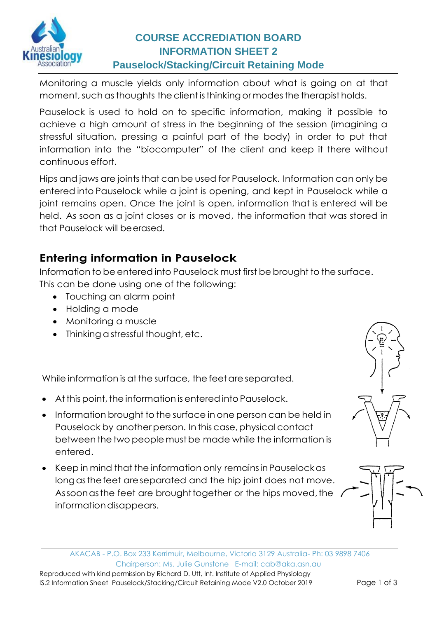

# **COURSE ACCREDIATION BOARD INFORMATION SHEET 2 Pauselock/Stacking/Circuit Retaining Mode**

Monitoring a muscle yields only information about what is going on at that moment, such as thoughts the client is thinking or modes the therapist holds.

Pauselock is used to hold on to specific information, making it possible to achieve a high amount of stress in the beginning of the session (imagining a stressful situation, pressing a painful part of the body) in order to put that information into the "biocomputer" of the client and keep it there without continuous effort.

Hips and jaws are joints that can be used for Pauselock. Information can only be entered into Pauselock while a joint is opening, and kept in Pauselock while a joint remains open. Once the joint is open, information that is entered will be held. As soon as a joint closes or is moved, the information that was stored in that Pauselock will beerased.

# **Entering information in Pauselock**

Information to be entered into Pauselock must first be brought to the surface. This can be done using one of the following:

- Touching an alarm point
- Holding a mode
- Monitoring a muscle
- Thinking a stressful thought, etc.

While information is at the surface, the feet are separated.

- At this point, the information is entered into Pauselock.
- Information brought to the surface in one person can be held in Pauselock by another person. In this case, physical contact between the two people must be made while the information is entered.
- Keep in mind that the information only remainsinPauselockas longasthefeet areseparated and the hip joint does not move. Assoon as the feet are brought together or the hips moved, the informationdisappears.



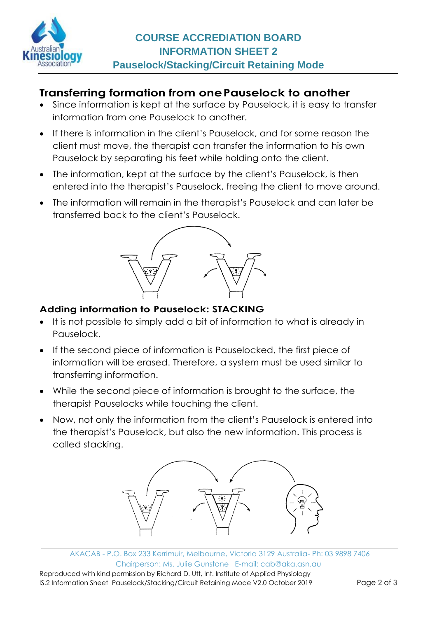

## **Transferring formation from onePauselock to another**

- Since information is kept at the surface by Pauselock, it is easy to transfer information from one Pauselock to another.
- If there is information in the client's Pauselock, and for some reason the client must move, the therapist can transfer the information to his own Pauselock by separating his feet while holding onto the client.
- The information, kept at the surface by the client's Pauselock, is then entered into the therapist's Pauselock, freeing the client to move around.
- The information will remain in the therapist's Pauselock and can later be transferred back to the client's Pauselock.



#### **Adding information to Pauselock: STACKING**

- It is not possible to simply add a bit of information to what is already in Pauselock.
- If the second piece of information is Pauselocked, the first piece of information will be erased. Therefore, a system must be used similar to transferring information.
- While the second piece of information is brought to the surface, the therapist Pauselocks while touching the client.
- Now, not only the information from the client's Pauselock is entered into the therapist's Pauselock, but also the new information. This process is called stacking.



AKACAB - P.O. Box 233 Kerrimuir, Melbourne, Victoria 3129 Australia- Ph: 03 9898 7406 Chairperson: Ms. Julie Gunstone E-mail: [cab@aka.asn.au](mailto:enquiries@akakinesiology.org.au) Reproduced with kind permission by Richard D. Utt, Int. Institute of Applied Physiology IS.2 Information Sheet Pauselock/Stacking/Circuit Retaining Mode V2.0 October 2019 Page 2 of 3